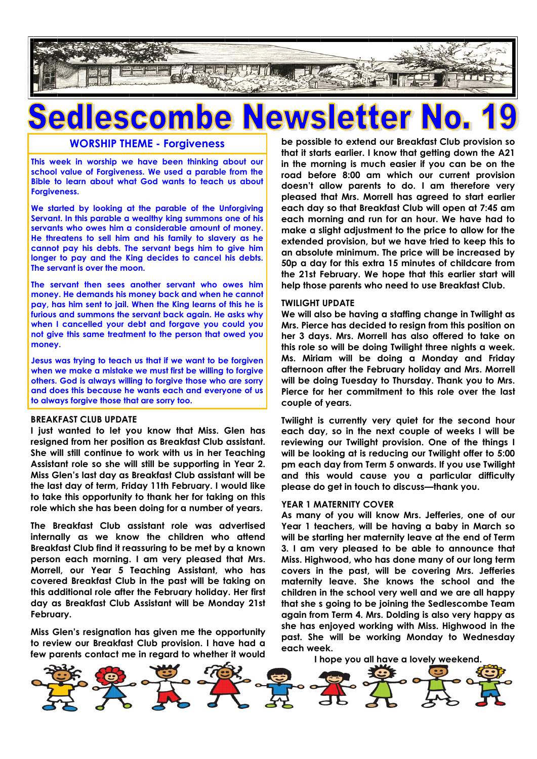

### **WORSHIP THEME - Forgiveness**

**This week in worship we have been thinking about our school value of Forgiveness. We used a parable from the Bible to learn about what God wants to teach us about Forgiveness.**

**We started by looking at the parable of the Unforgiving Servant. In this parable a wealthy king summons one of his servants who owes him a considerable amount of money. He threatens to sell him and his family to slavery as he cannot pay his debts. The servant begs him to give him longer to pay and the King decides to cancel his debts. The servant is over the moon.**

**The servant then sees another servant who owes him money. He demands his money back and when he cannot pay, has him sent to jail. When the King learns of this he is furious and summons the servant back again. He asks why when I cancelled your debt and forgave you could you not give this same treatment to the person that owed you money.** 

**Jesus was trying to teach us that if we want to be forgiven when we make a mistake we must first be willing to forgive others. God is always willing to forgive those who are sorry and does this because he wants each and everyone of us to always forgive those that are sorry too.** 

#### **BREAKFAST CLUB UPDATE**

**I just wanted to let you know that Miss. Glen has resigned from her position as Breakfast Club assistant. She will still continue to work with us in her Teaching Assistant role so she will still be supporting in Year 2. Miss Glen's last day as Breakfast Club assistant will be the last day of term, Friday 11th February. I would like to take this opportunity to thank her for taking on this role which she has been doing for a number of years.**

**The Breakfast Club assistant role was advertised internally as we know the children who attend Breakfast Club find it reassuring to be met by a known person each morning. I am very pleased that Mrs. Morrell, our Year 5 Teaching Assistant, who has covered Breakfast Club in the past will be taking on this additional role after the February holiday. Her first day as Breakfast Club Assistant will be Monday 21st February.**

**Miss Glen's resignation has given me the opportunity to review our Breakfast Club provision. I have had a few parents contact me in regard to whether it would**  **be possible to extend our Breakfast Club provision so that it starts earlier. I know that getting down the A21 in the morning is much easier if you can be on the road before 8:00 am which our current provision doesn't allow parents to do. I am therefore very pleased that Mrs. Morrell has agreed to start earlier each day so that Breakfast Club will open at 7:45 am each morning and run for an hour. We have had to make a slight adjustment to the price to allow for the extended provision, but we have tried to keep this to an absolute minimum. The price will be increased by 50p a day for this extra 15 minutes of childcare from the 21st February. We hope that this earlier start will help those parents who need to use Breakfast Club.**

#### **TWILIGHT UPDATE**

**We will also be having a staffing change in Twilight as Mrs. Pierce has decided to resign from this position on her 3 days. Mrs. Morrell has also offered to take on this role so will be doing Twilight three nights a week. Ms. Miriam will be doing a Monday and Friday afternoon after the February holiday and Mrs. Morrell will be doing Tuesday to Thursday. Thank you to Mrs. Pierce for her commitment to this role over the last couple of years.**

**Twilight is currently very quiet for the second hour each day, so in the next couple of weeks I will be reviewing our Twilight provision. One of the things I will be looking at is reducing our Twilight offer to 5:00 pm each day from Term 5 onwards. If you use Twilight and this would cause you a particular difficulty please do get in touch to discuss—thank you.**

#### **YEAR 1 MATERNITY COVER**

**As many of you will know Mrs. Jefferies, one of our Year 1 teachers, will be having a baby in March so will be starting her maternity leave at the end of Term 3. I am very pleased to be able to announce that Miss. Highwood, who has done many of our long term covers in the past, will be covering Mrs. Jefferies maternity leave. She knows the school and the children in the school very well and we are all happy that she s going to be joining the Sedlescombe Team again from Term 4. Mrs. Dolding is also very happy as she has enjoyed working with Miss. Highwood in the past. She will be working Monday to Wednesday each week.**

**I hope you all have a lovely weekend.**